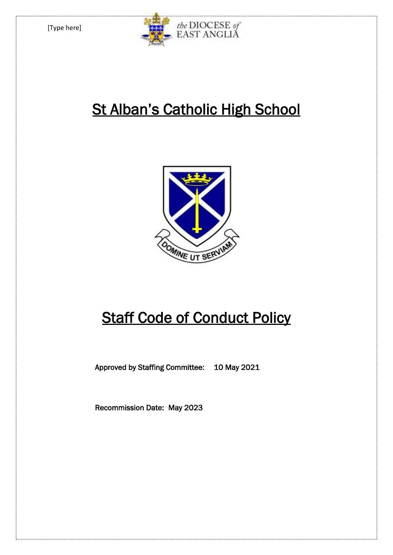

# **St Alban's Catholic High School**



# **Staff Code of Conduct Policy**

Approved by Staffing Committee: 10 May 2021

Recommission Date: May 2023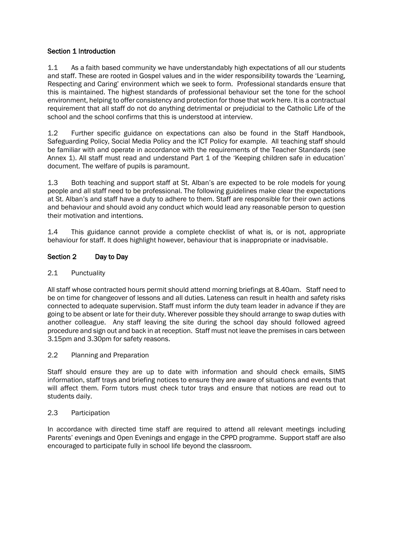# Section 1 Introduction

1.1 As a faith based community we have understandably high expectations of all our students and staff. These are rooted in Gospel values and in the wider responsibility towards the 'Learning, Respecting and Caring' environment which we seek to form. Professional standards ensure that this is maintained. The highest standards of professional behaviour set the tone for the school environment, helping to offer consistency and protection for those that work here. It is a contractual requirement that all staff do not do anything detrimental or prejudicial to the Catholic Life of the school and the school confirms that this is understood at interview.

1.2 Further specific guidance on expectations can also be found in the Staff Handbook, Safeguarding Policy, Social Media Policy and the ICT Policy for example. All teaching staff should be familiar with and operate in accordance with the requirements of the Teacher Standards (see Annex 1). All staff must read and understand Part 1 of the 'Keeping children safe in education' document. The welfare of pupils is paramount.

1.3 Both teaching and support staff at St. Alban's are expected to be role models for young people and all staff need to be professional. The following guidelines make clear the expectations at St. Alban's and staff have a duty to adhere to them. Staff are responsible for their own actions and behaviour and should avoid any conduct which would lead any reasonable person to question their motivation and intentions.

1.4 This guidance cannot provide a complete checklist of what is, or is not, appropriate behaviour for staff. It does highlight however, behaviour that is inappropriate or inadvisable.

## Section 2 Day to Day

## 2.1 Punctuality

All staff whose contracted hours permit should attend morning briefings at 8.40am. Staff need to be on time for changeover of lessons and all duties. Lateness can result in health and safety risks connected to adequate supervision. Staff must inform the duty team leader in advance if they are going to be absent or late for their duty. Wherever possible they should arrange to swap duties with another colleague. Any staff leaving the site during the school day should followed agreed procedure and sign out and back in at reception. Staff must not leave the premises in cars between 3.15pm and 3.30pm for safety reasons.

#### 2.2 Planning and Preparation

Staff should ensure they are up to date with information and should check emails, SIMS information, staff trays and briefing notices to ensure they are aware of situations and events that will affect them. Form tutors must check tutor trays and ensure that notices are read out to students daily.

#### 2.3 Participation

In accordance with directed time staff are required to attend all relevant meetings including Parents' evenings and Open Evenings and engage in the CPPD programme. Support staff are also encouraged to participate fully in school life beyond the classroom.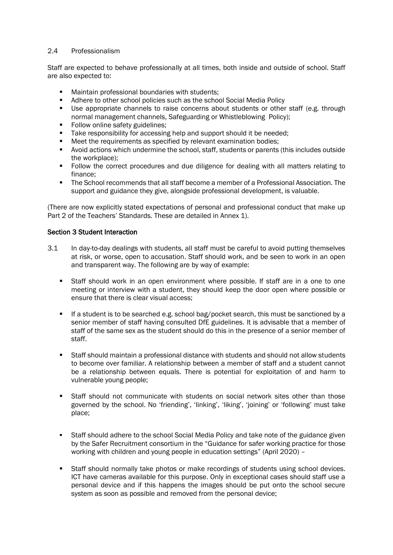## 2.4 Professionalism

Staff are expected to behave professionally at all times, both inside and outside of school. Staff are also expected to:

- **Maintain professional boundaries with students:**
- **Adhere to other school policies such as the school Social Media Policy**
- Use appropriate channels to raise concerns about students or other staff (e.g. through normal management channels, Safeguarding or Whistleblowing Policy);
- Follow online safety guidelines;
- Take responsibility for accessing help and support should it be needed;
- Meet the requirements as specified by relevant examination bodies;
- Avoid actions which undermine the school, staff, students or parents (this includes outside the workplace);
- Follow the correct procedures and due diligence for dealing with all matters relating to finance;
- The School recommends that all staff become a member of a Professional Association. The support and guidance they give, alongside professional development, is valuable.

(There are now explicitly stated expectations of personal and professional conduct that make up Part 2 of the Teachers' Standards. These are detailed in Annex 1).

## Section 3 Student Interaction

- 3.1 In day-to-day dealings with students, all staff must be careful to avoid putting themselves at risk, or worse, open to accusation. Staff should work, and be seen to work in an open and transparent way. The following are by way of example:
	- Staff should work in an open environment where possible. If staff are in a one to one meeting or interview with a student, they should keep the door open where possible or ensure that there is clear visual access;
	- If a student is to be searched e.g. school bag/pocket search, this must be sanctioned by a senior member of staff having consulted DfE guidelines. It is advisable that a member of staff of the same sex as the student should do this in the presence of a senior member of staff.
	- Staff should maintain a professional distance with students and should not allow students to become over familiar. A relationship between a member of staff and a student cannot be a relationship between equals. There is potential for exploitation of and harm to vulnerable young people;
	- Staff should not communicate with students on social network sites other than those governed by the school. No 'friending', 'linking', 'liking', 'joining' or 'following' must take place;
	- Staff should adhere to the school Social Media Policy and take note of the guidance given by the Safer Recruitment consortium in the "Guidance for safer working practice for those working with children and young people in education settings" (April 2020) –
	- Staff should normally take photos or make recordings of students using school devices. ICT have cameras available for this purpose. Only in exceptional cases should staff use a personal device and if this happens the images should be put onto the school secure system as soon as possible and removed from the personal device;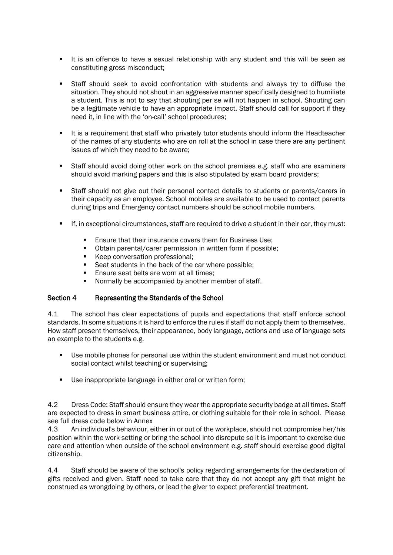- It is an offence to have a sexual relationship with any student and this will be seen as constituting gross misconduct;
- Staff should seek to avoid confrontation with students and always try to diffuse the situation. They should not shout in an aggressive manner specifically designed to humiliate a student. This is not to say that shouting per se will not happen in school. Shouting can be a legitimate vehicle to have an appropriate impact. Staff should call for support if they need it, in line with the 'on-call' school procedures;
- It is a requirement that staff who privately tutor students should inform the Headteacher of the names of any students who are on roll at the school in case there are any pertinent issues of which they need to be aware;
- Staff should avoid doing other work on the school premises e.g. staff who are examiners should avoid marking papers and this is also stipulated by exam board providers;
- Staff should not give out their personal contact details to students or parents/carers in their capacity as an employee. School mobiles are available to be used to contact parents during trips and Emergency contact numbers should be school mobile numbers.
- If, in exceptional circumstances, staff are required to drive a student in their car, they must:
	- **Ensure that their insurance covers them for Business Use:**
	- Obtain parental/carer permission in written form if possible;
	- Keep conversation professional;
	- Seat students in the back of the car where possible:
	- **Ensure seat belts are worn at all times:**
	- **Normally be accompanied by another member of staff.**

# Section 4 Representing the Standards of the School

4.1 The school has clear expectations of pupils and expectations that staff enforce school standards. In some situations it is hard to enforce the rules if staff do not apply them to themselves. How staff present themselves, their appearance, body language, actions and use of language sets an example to the students e.g.

- Use mobile phones for personal use within the student environment and must not conduct social contact whilst teaching or supervising;
- Use inappropriate language in either oral or written form;

4.2 Dress Code: Staff should ensure they wear the appropriate security badge at all times. Staff are expected to dress in smart business attire, or clothing suitable for their role in school. Please see full dress code below in Annex

4.3 An individual's behaviour, either in or out of the workplace, should not compromise her/his position within the work setting or bring the school into disrepute so it is important to exercise due care and attention when outside of the school environment e.g. staff should exercise good digital citizenship.

4.4 Staff should be aware of the school's policy regarding arrangements for the declaration of gifts received and given. Staff need to take care that they do not accept any gift that might be construed as wrongdoing by others, or lead the giver to expect preferential treatment.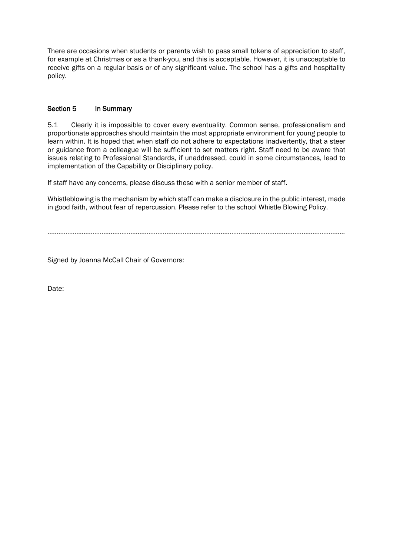There are occasions when students or parents wish to pass small tokens of appreciation to staff, for example at Christmas or as a thank-you, and this is acceptable. However, it is unacceptable to receive gifts on a regular basis or of any significant value. The school has a gifts and hospitality policy.

# Section 5 In Summary

5.1 Clearly it is impossible to cover every eventuality. Common sense, professionalism and proportionate approaches should maintain the most appropriate environment for young people to learn within. It is hoped that when staff do not adhere to expectations inadvertently, that a steer or guidance from a colleague will be sufficient to set matters right. Staff need to be aware that issues relating to Professional Standards, if unaddressed, could in some circumstances, lead to implementation of the Capability or Disciplinary policy.

If staff have any concerns, please discuss these with a senior member of staff.

Whistleblowing is the mechanism by which staff can make a disclosure in the public interest, made in good faith, without fear of repercussion. Please refer to the school Whistle Blowing Policy.

…………………………………………………………………………………………………………………………………………………

Signed by Joanna McCall Chair of Governors:

Date: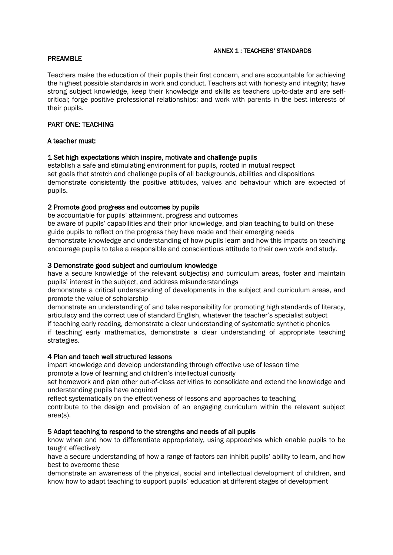#### ANNEX 1 : TEACHERS' STANDARDS

# PREAMBLE

Teachers make the education of their pupils their first concern, and are accountable for achieving the highest possible standards in work and conduct. Teachers act with honesty and integrity; have strong subject knowledge, keep their knowledge and skills as teachers up-to-date and are selfcritical; forge positive professional relationships; and work with parents in the best interests of their pupils.

# PART ONE: TEACHING

# A teacher must:

## 1 Set high expectations which inspire, motivate and challenge pupils

establish a safe and stimulating environment for pupils, rooted in mutual respect set goals that stretch and challenge pupils of all backgrounds, abilities and dispositions demonstrate consistently the positive attitudes, values and behaviour which are expected of pupils.

# 2 Promote good progress and outcomes by pupils

be accountable for pupils' attainment, progress and outcomes be aware of pupils' capabilities and their prior knowledge, and plan teaching to build on these guide pupils to reflect on the progress they have made and their emerging needs demonstrate knowledge and understanding of how pupils learn and how this impacts on teaching encourage pupils to take a responsible and conscientious attitude to their own work and study.

## 3 Demonstrate good subject and curriculum knowledge

have a secure knowledge of the relevant subject(s) and curriculum areas, foster and maintain pupils' interest in the subject, and address misunderstandings

demonstrate a critical understanding of developments in the subject and curriculum areas, and promote the value of scholarship

demonstrate an understanding of and take responsibility for promoting high standards of literacy, articulacy and the correct use of standard English, whatever the teacher's specialist subject

if teaching early reading, demonstrate a clear understanding of systematic synthetic phonics if teaching early mathematics, demonstrate a clear understanding of appropriate teaching strategies.

#### 4 Plan and teach well structured lessons

impart knowledge and develop understanding through effective use of lesson time promote a love of learning and children's intellectual curiosity

set homework and plan other out-of-class activities to consolidate and extend the knowledge and understanding pupils have acquired

reflect systematically on the effectiveness of lessons and approaches to teaching

contribute to the design and provision of an engaging curriculum within the relevant subject area(s).

# 5 Adapt teaching to respond to the strengths and needs of all pupils

know when and how to differentiate appropriately, using approaches which enable pupils to be taught effectively

have a secure understanding of how a range of factors can inhibit pupils' ability to learn, and how best to overcome these

demonstrate an awareness of the physical, social and intellectual development of children, and know how to adapt teaching to support pupils' education at different stages of development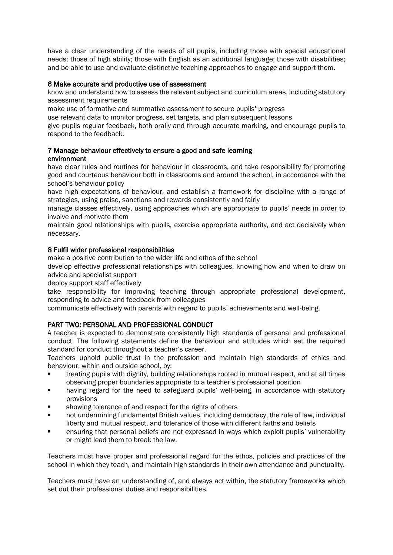have a clear understanding of the needs of all pupils, including those with special educational needs; those of high ability; those with English as an additional language; those with disabilities; and be able to use and evaluate distinctive teaching approaches to engage and support them.

## 6 Make accurate and productive use of assessment

know and understand how to assess the relevant subject and curriculum areas, including statutory assessment requirements

make use of formative and summative assessment to secure pupils' progress

use relevant data to monitor progress, set targets, and plan subsequent lessons

give pupils regular feedback, both orally and through accurate marking, and encourage pupils to respond to the feedback.

#### 7 Manage behaviour effectively to ensure a good and safe learning environment

have clear rules and routines for behaviour in classrooms, and take responsibility for promoting good and courteous behaviour both in classrooms and around the school, in accordance with the school's behaviour policy

have high expectations of behaviour, and establish a framework for discipline with a range of strategies, using praise, sanctions and rewards consistently and fairly

manage classes effectively, using approaches which are appropriate to pupils' needs in order to involve and motivate them

maintain good relationships with pupils, exercise appropriate authority, and act decisively when necessary.

## 8 Fulfil wider professional responsibilities

make a positive contribution to the wider life and ethos of the school

develop effective professional relationships with colleagues, knowing how and when to draw on advice and specialist support

deploy support staff effectively

take responsibility for improving teaching through appropriate professional development, responding to advice and feedback from colleagues

communicate effectively with parents with regard to pupils' achievements and well-being.

# PART TWO: PERSONAL AND PROFESSIONAL CONDUCT

A teacher is expected to demonstrate consistently high standards of personal and professional conduct. The following statements define the behaviour and attitudes which set the required standard for conduct throughout a teacher's career.

Teachers uphold public trust in the profession and maintain high standards of ethics and behaviour, within and outside school, by:

- treating pupils with dignity, building relationships rooted in mutual respect, and at all times observing proper boundaries appropriate to a teacher's professional position
- having regard for the need to safeguard pupils' well-being, in accordance with statutory provisions
- showing tolerance of and respect for the rights of others
- not undermining fundamental British values, including democracy, the rule of law, individual liberty and mutual respect, and tolerance of those with different faiths and beliefs
- ensuring that personal beliefs are not expressed in ways which exploit pupils' vulnerability or might lead them to break the law.

Teachers must have proper and professional regard for the ethos, policies and practices of the school in which they teach, and maintain high standards in their own attendance and punctuality.

Teachers must have an understanding of, and always act within, the statutory frameworks which set out their professional duties and responsibilities.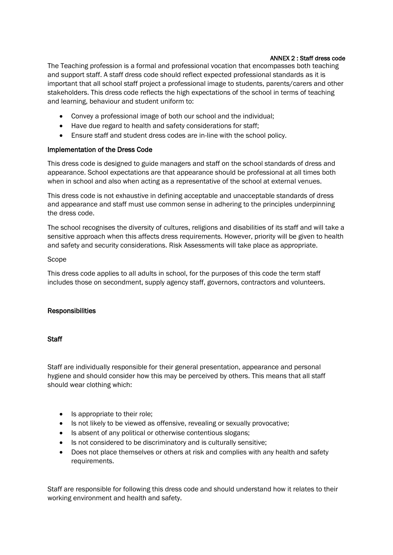## ANNEX 2 : Staff dress code

The Teaching profession is a formal and professional vocation that encompasses both teaching and support staff. A staff dress code should reflect expected professional standards as it is important that all school staff project a professional image to students, parents/carers and other stakeholders. This dress code reflects the high expectations of the school in terms of teaching and learning, behaviour and student uniform to:

- Convey a professional image of both our school and the individual;
- Have due regard to health and safety considerations for staff;
- Ensure staff and student dress codes are in-line with the school policy.

# Implementation of the Dress Code

This dress code is designed to guide managers and staff on the school standards of dress and appearance. School expectations are that appearance should be professional at all times both when in school and also when acting as a representative of the school at external venues.

This dress code is not exhaustive in defining acceptable and unacceptable standards of dress and appearance and staff must use common sense in adhering to the principles underpinning the dress code.

The school recognises the diversity of cultures, religions and disabilities of its staff and will take a sensitive approach when this affects dress requirements. However, priority will be given to health and safety and security considerations. Risk Assessments will take place as appropriate.

## Scope

This dress code applies to all adults in school, for the purposes of this code the term staff includes those on secondment, supply agency staff, governors, contractors and volunteers.

# **Responsibilities**

#### **Staff**

Staff are individually responsible for their general presentation, appearance and personal hygiene and should consider how this may be perceived by others. This means that all staff should wear clothing which:

- Is appropriate to their role;
- Is not likely to be viewed as offensive, revealing or sexually provocative;
- Is absent of any political or otherwise contentious slogans;
- Is not considered to be discriminatory and is culturally sensitive;
- Does not place themselves or others at risk and complies with any health and safety requirements.

Staff are responsible for following this dress code and should understand how it relates to their working environment and health and safety.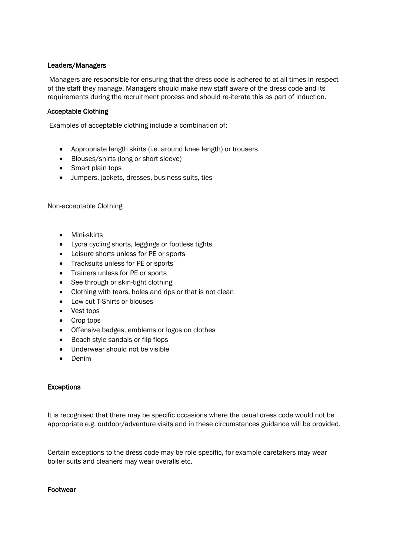# Leaders/Managers

Managers are responsible for ensuring that the dress code is adhered to at all times in respect of the staff they manage. Managers should make new staff aware of the dress code and its requirements during the recruitment process and should re-iterate this as part of induction.

# Acceptable Clothing

Examples of acceptable clothing include a combination of;

- Appropriate length skirts (i.e. around knee length) or trousers
- Blouses/shirts (long or short sleeve)
- Smart plain tops
- Jumpers, jackets, dresses, business suits, ties

Non-acceptable Clothing

- Mini-skirts
- Lycra cycling shorts, leggings or footless tights
- Leisure shorts unless for PE or sports
- Tracksuits unless for PE or sports
- Trainers unless for PE or sports
- See through or skin-tight clothing
- Clothing with tears, holes and rips or that is not clean
- Low cut T-Shirts or blouses
- Vest tops
- Crop tops
- Offensive badges, emblems or logos on clothes
- Beach style sandals or flip flops
- Underwear should not be visible
- Denim

# Exceptions

It is recognised that there may be specific occasions where the usual dress code would not be appropriate e.g. outdoor/adventure visits and in these circumstances guidance will be provided.

Certain exceptions to the dress code may be role specific, for example caretakers may wear boiler suits and cleaners may wear overalls etc.

#### Footwear